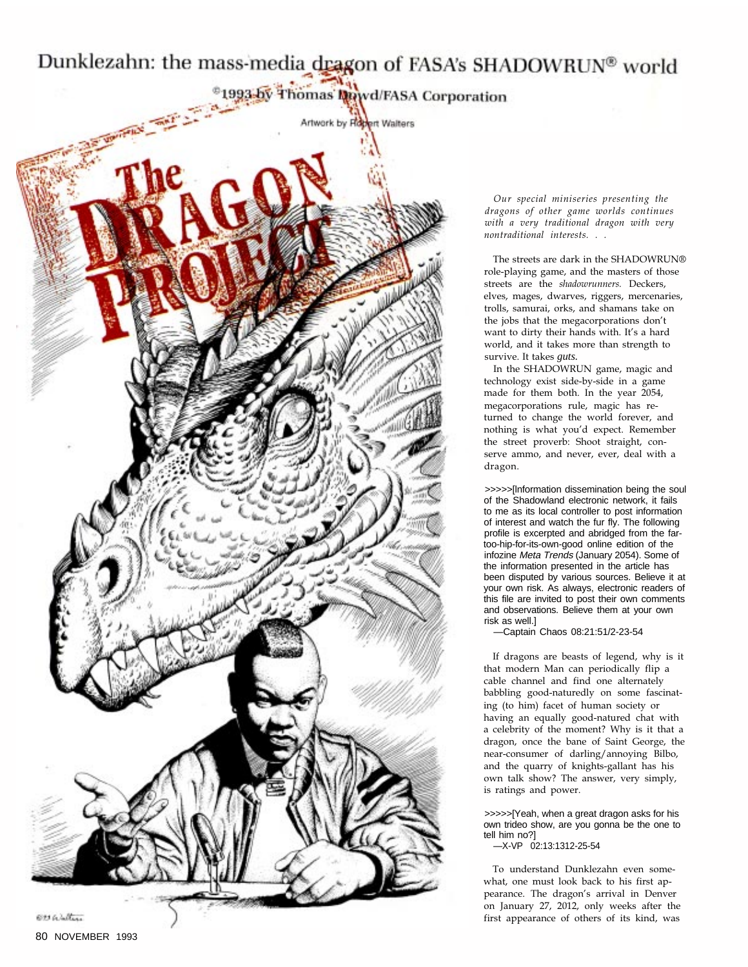## Dunklezahn: the mass-media dragon of FASA's SHADOWRUN® world



Our special miniseries presenting the dragons of other game worlds continues with a very traditional dragon with very nontraditional interests. . .

The streets are dark in the SHADOWRUN® role-playing game, and the masters of those streets are the shadowrunners. Deckers, elves, mages, dwarves, riggers, mercenaries, trolls, samurai, orks, and shamans take on the jobs that the megacorporations don't want to dirty their hands with. It's a hard world, and it takes more than strength to survive. It takes *guts.*

In the SHADOWRUN game, magic and technology exist side-by-side in a game made for them both. In the year 2054, megacorporations rule, magic has returned to change the world forever, and nothing is what you'd expect. Remember the street proverb: Shoot straight, conserve ammo, and never, ever, deal with a dragon.

>>>>>[lnformation dissemination being the soul of the Shadowland electronic network, it fails to me as its local controller to post information of interest and watch the fur fly. The following profile is excerpted and abridged from the fartoo-hip-for-its-own-good online edition of the infozine Meta Trends (January 2054). Some of the information presented in the article has been disputed by various sources. Believe it at your own risk. As always, electronic readers of this file are invited to post their own comments and observations. Believe them at your own risk as well.]

—Captain Chaos 08:21:51/2-23-54

If dragons are beasts of legend, why is it that modern Man can periodically flip a cable channel and find one alternately babbling good-naturedly on some fascinating (to him) facet of human society or having an equally good-natured chat with a celebrity of the moment? Why is it that a dragon, once the bane of Saint George, the near-consumer of darling/annoying Bilbo, and the quarry of knights-gallant has his own talk show? The answer, very simply, is ratings and power.

>>>>>[Yeah, when a great dragon asks for his own trideo show, are you gonna be the one to tell him no?]

—X-VP 02:13:1312-25-54

To understand Dunklezahn even somewhat, one must look back to his first appearance. The dragon's arrival in Denver on January 27, 2012, only weeks after the first appearance of others of its kind, was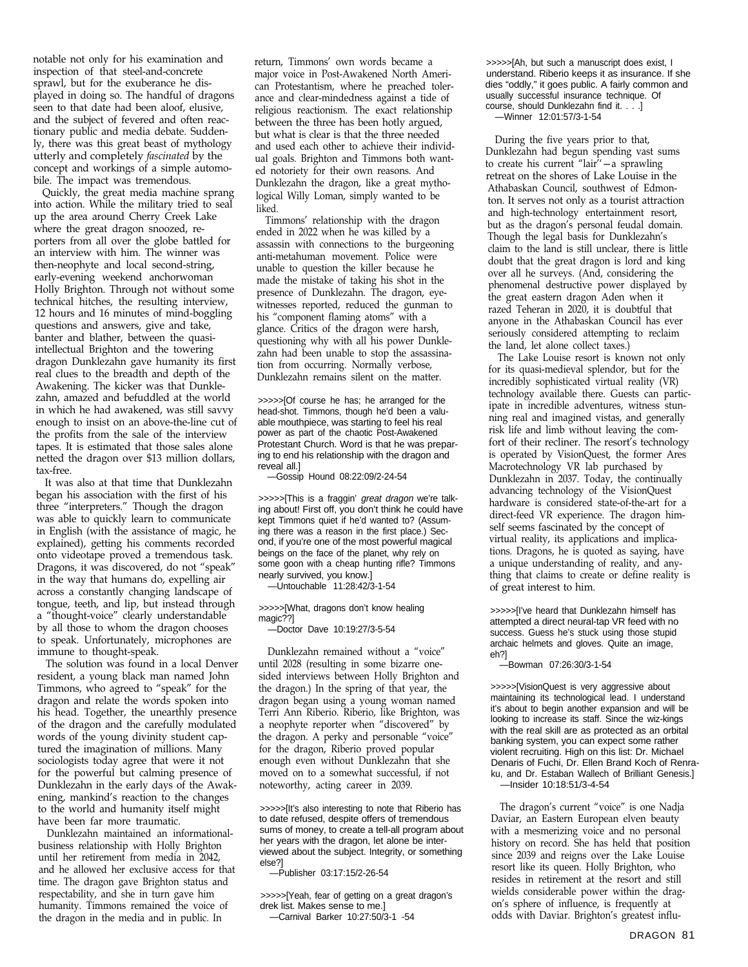notable not only for his examination and inspection of that steel-and-concrete sprawl, but for the exuberance he displayed in doing so. The handful of dragons seen to that date had been aloof, elusive, and the subject of fevered and often reactionary public and media debate. Suddenly, there was this great beast of mythology utterly and completely fascinated by the concept and workings of a simple automobile. The impact was tremendous.

Quickly, the great media machine sprang into action. While the military tried to seal up the area around Cherry Creek Lake where the great dragon snoozed, reporters from all over the globe battled for an interview with him. The winner was then-neophyte and local second-string, early-evening weekend anchorwoman Holly Brighton. Through not without some technical hitches, the resulting interview, 12 hours and 16 minutes of mind-boggling questions and answers, give and take, banter and blather, between the quasiintellectual Brighton and the towering dragon Dunklezahn gave humanity its first real clues to the breadth and depth of the Awakening. The kicker was that Dunklezahn, amazed and befuddled at the world in which he had awakened, was still savvy enough to insist on an above-the-line cut of the profits from the sale of the interview tapes. It is estimated that those sales alone netted the dragon over \$13 million dollars, tax-free.

It was also at that time that Dunklezahn began his association with the first of his three "interpreters." Though the dragon was able to quickly learn to communicate in English (with the assistance of magic, he explained), getting his comments recorded onto videotape proved a tremendous task. Dragons, it was discovered, do not "speak" in the way that humans do, expelling air across a constantly changing landscape of tongue, teeth, and lip, but instead through a "thought-voice" clearly understandable by all those to whom the dragon chooses to speak. Unfortunately, microphones are immune to thought-speak.

The solution was found in a local Denver resident, a young black man named John Timmons, who agreed to "speak" for the dragon and relate the words spoken into his head. Together, the unearthly presence of the dragon and the carefully modulated words of the young divinity student captured the imagination of millions. Many sociologists today agree that were it not for the powerful but calming presence of Dunklezahn in the early days of the Awakening, mankind's reaction to the changes to the world and humanity itself might have been far more traumatic.

Dunklezahn maintained an informationalbusiness relationship with Holly Brighton until her retirement from media in 2042, and he allowed her exclusive access for that time. The dragon gave Brighton status and respectability, and she in turn gave him humanity. Timmons remained the voice of the dragon in the media and in public. In

return, Timmons' own words became a major voice in Post-Awakened North American Protestantism, where he preached tolerance and clear-mindedness against a tide of religious reactionism. The exact relationship between the three has been hotly argued, but what is clear is that the three needed and used each other to achieve their individual goals. Brighton and Timmons both wanted notoriety for their own reasons. And Dunklezahn the dragon, like a great mythological Willy Loman, simply wanted to be liked.

Timmons' relationship with the dragon ended in 2022 when he was killed by a assassin with connections to the burgeoning anti-metahuman movement. Police were unable to question the killer because he made the mistake of taking his shot in the presence of Dunklezahn. The dragon, eyewitnesses reported, reduced the gunman to his "component flaming atoms" with a glance. Critics of the dragon were harsh, questioning why with all his power Dunklezahn had been unable to stop the assassination from occurring. Normally verbose, Dunklezahn remains silent on the matter.

>>>>>[Of course he has; he arranged for the head-shot. Timmons, though he'd been a valuable mouthpiece, was starting to feel his real power as part of the chaotic Post-Awakened Protestant Church. Word is that he was preparing to end his relationship with the dragon and reveal all.]

—Gossip Hound 08:22:09/2-24-54

>>>>>[This is a fraggin' great dragon we're talking about! First off, you don't think he could have kept Timmons quiet if he'd wanted to? (Assuming there was a reason in the first place.) Second, if you're one of the most powerful magical beings on the face of the planet, why rely on some goon with a cheap hunting rifle? Timmons nearly survived, you know.]

—Untouchable 11:28:42/3-1-54

>>>>>[What, dragons don't know healing magic??]

—Doctor Dave 10:19:27/3-5-54

Dunklezahn remained without a "voice" until 2028 (resulting in some bizarre onesided interviews between Holly Brighton and the dragon.) In the spring of that year, the dragon began using a young woman named Terri Ann Riberio. Riberio, like Brighton, was a neophyte reporter when "discovered" by the dragon. A perky and personable "voice" for the dragon, Riberio proved popular enough even without Dunklezahn that she moved on to a somewhat successful, if not noteworthy, acting career in 2039.

>>>>>[It's also interesting to note that Riberio has to date refused, despite offers of tremendous sums of money, to create a tell-all program about her years with the dragon, let alone be interviewed about the subject. Integrity, or something else?]

>>>>>[Yeah, fear of getting on a great dragon's drek list. Makes sense to me.]

—Carnival Barker 10:27:50/3-1 -54

>>>>>[Ah, but such a manuscript does exist, I understand. Riberio keeps it as insurance. If she dies "oddly," it goes public. A fairly common and usually successful insurance technique. Of course, should Dunklezahn find it. . . .] —Winner 12:01:57/3-1-54

During the five years prior to that, Dunklezahn had begun spending vast sums to create his current "lair"  $-a$  sprawling retreat on the shores of Lake Louise in the Athabaskan Council, southwest of Edmonton. It serves not only as a tourist attraction and high-technology entertainment resort, but as the dragon's personal feudal domain. Though the legal basis for Dunklezahn's claim to the land is still unclear, there is little doubt that the great dragon is lord and king over all he surveys. (And, considering the phenomenal destructive power displayed by the great eastern dragon Aden when it razed Teheran in 2020, it is doubtful that anyone in the Athabaskan Council has ever seriously considered attempting to reclaim the land, let alone collect taxes.)

The Lake Louise resort is known not only for its quasi-medieval splendor, but for the incredibly sophisticated virtual reality (VR) technology available there. Guests can participate in incredible adventures, witness stunning real and imagined vistas, and generally risk life and limb without leaving the comfort of their recliner. The resort's technology is operated by VisionQuest, the former Ares Macrotechnology VR lab purchased by Dunklezahn in 2037. Today, the continually advancing technology of the VisionQuest hardware is considered state-of-the-art for a direct-feed VR experience. The dragon himself seems fascinated by the concept of virtual reality, its applications and implications. Dragons, he is quoted as saying, have a unique understanding of reality, and anything that claims to create or define reality is of great interest to him.

>>>>>[I've heard that Dunklezahn himself has attempted a direct neural-tap VR feed with no success. Guess he's stuck using those stupid archaic helmets and gloves. Quite an image, eh?]

—Bowman 07:26:30/3-1-54

>>>>>[VisionQuest is very aggressive about maintaining its technological lead. I understand it's about to begin another expansion and will be looking to increase its staff. Since the wiz-kings with the real skill are as protected as an orbital banking system, you can expect some rather violent recruiting. High on this list: Dr. Michael Denaris of Fuchi, Dr. Ellen Brand Koch of Renraku, and Dr. Estaban Wallech of Brilliant Genesis.] —Insider 10:18:51/3-4-54

The dragon's current "voice" is one Nadja Daviar, an Eastern European elven beauty with a mesmerizing voice and no personal history on record. She has held that position since 2039 and reigns over the Lake Louise resort like its queen. Holly Brighton, who resides in retirement at the resort and still wields considerable power within the dragon's sphere of influence, is frequently at odds with Daviar. Brighton's greatest influ-

<sup>—</sup>Publisher 03:17:15/2-26-54